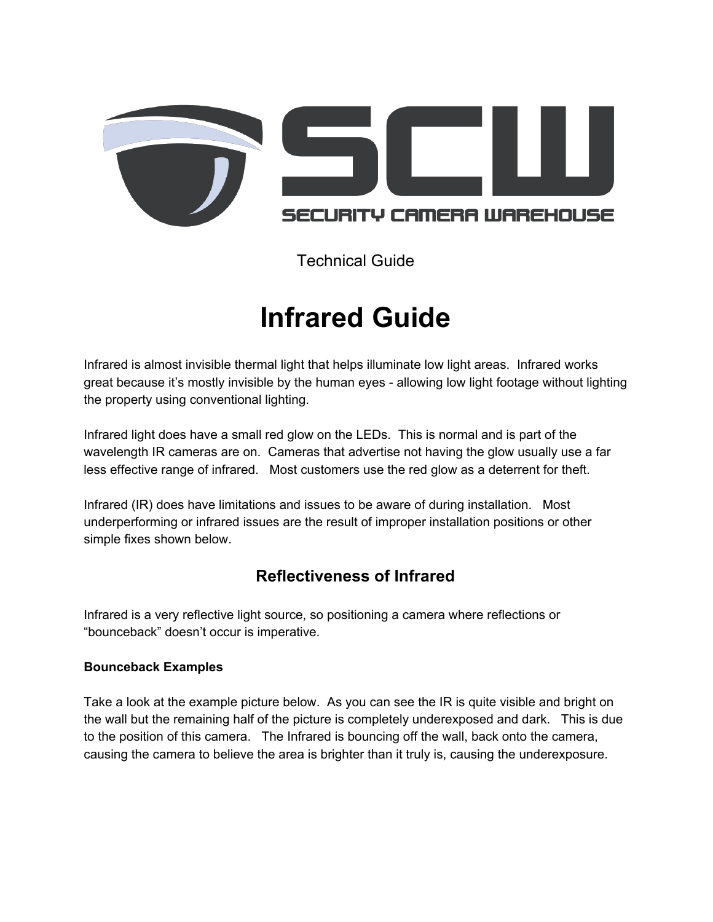

Technical Guide

# **Infrared Guide**

Infrared is almost invisible thermal light that helps illuminate low light areas. Infrared works great because it's mostly invisible by the human eyes - allowing low light footage without lighting the property using conventional lighting.

Infrared light does have a small red glow on the LEDs. This is normal and is part of the wavelength IR cameras are on. Cameras that advertise not having the glow usually use a far less effective range of infrared. Most customers use the red glow as a deterrent for theft.

Infrared (IR) does have limitations and issues to be aware of during installation. Most underperforming or infrared issues are the result of improper installation positions or other simple fixes shown below.

# **Reflectiveness of Infrared**

Infrared is a very reflective light source, so positioning a camera where reflections or "bounceback" doesn't occur is imperative.

# **Bounceback Examples**

Take a look at the example picture below. As you can see the IR is quite visible and bright on the wall but the remaining half of the picture is completely underexposed and dark. This is due to the position of this camera. The Infrared is bouncing off the wall, back onto the camera, causing the camera to believe the area is brighter than it truly is, causing the underexposure.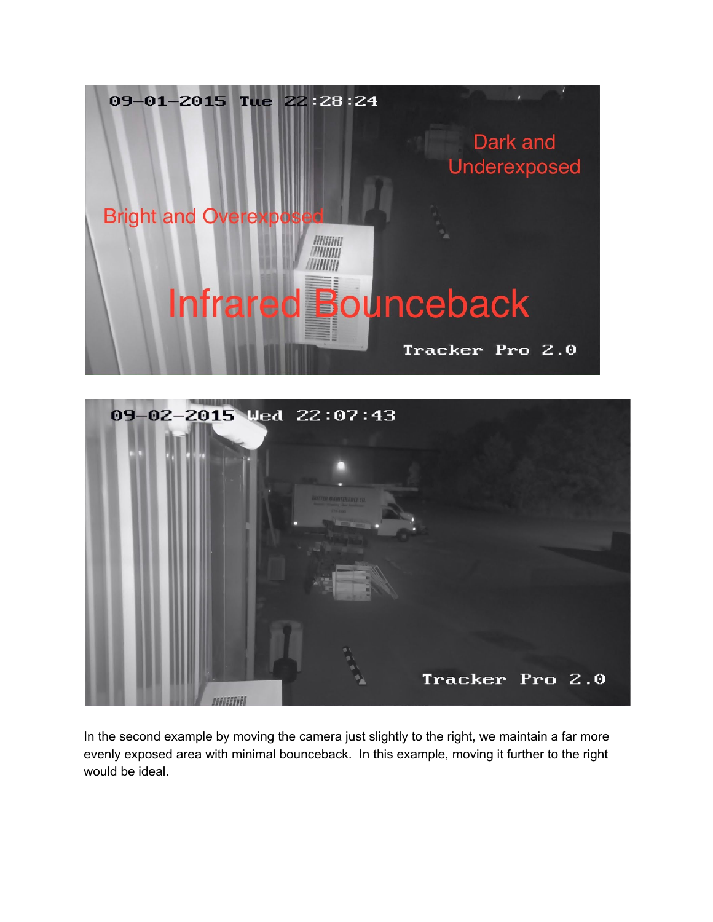



In the second example by moving the camera just slightly to the right, we maintain a far more evenly exposed area with minimal bounceback. In this example, moving it further to the right would be ideal.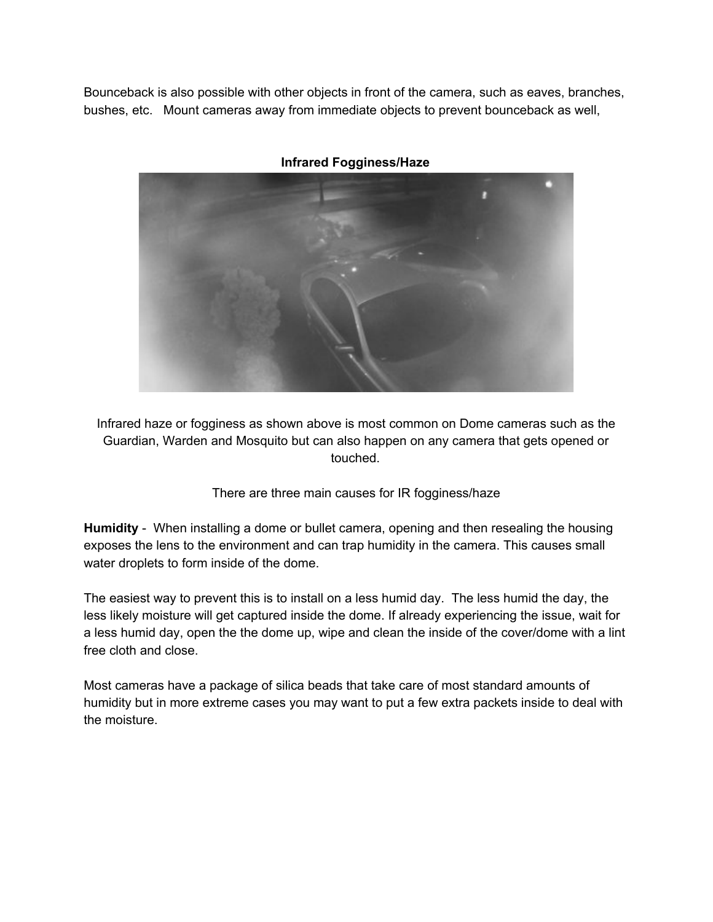Bounceback is also possible with other objects in front of the camera, such as eaves, branches, bushes, etc. Mount cameras away from immediate objects to prevent bounceback as well,



**Infrared Fogginess/Haze**

Infrared haze or fogginess as shown above is most common on Dome cameras such as the Guardian, Warden and Mosquito but can also happen on any camera that gets opened or touched.

There are three main causes for IR fogginess/haze

**Humidity** - When installing a dome or bullet camera, opening and then resealing the housing exposes the lens to the environment and can trap humidity in the camera. This causes small water droplets to form inside of the dome.

The easiest way to prevent this is to install on a less humid day. The less humid the day, the less likely moisture will get captured inside the dome. If already experiencing the issue, wait for a less humid day, open the the dome up, wipe and clean the inside of the cover/dome with a lint free cloth and close.

Most cameras have a package of silica beads that take care of most standard amounts of humidity but in more extreme cases you may want to put a few extra packets inside to deal with the moisture.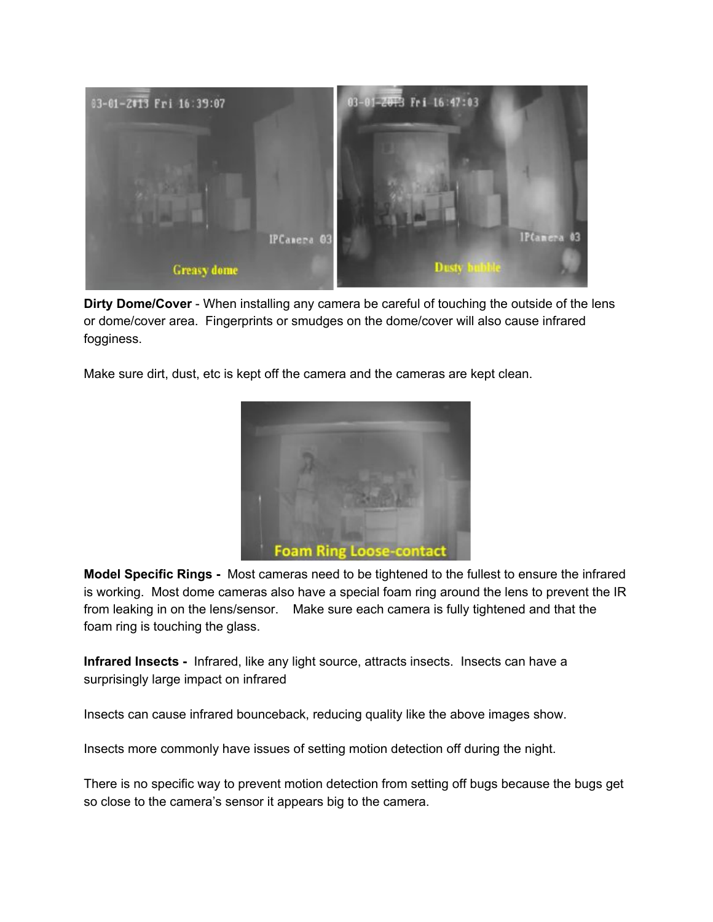

**Dirty Dome/Cover** - When installing any camera be careful of touching the outside of the lens or dome/cover area. Fingerprints or smudges on the dome/cover will also cause infrared fogginess.

Make sure dirt, dust, etc is kept off the camera and the cameras are kept clean.



**Model Specific Rings -** Most cameras need to be tightened to the fullest to ensure the infrared is working. Most dome cameras also have a special foam ring around the lens to prevent the IR from leaking in on the lens/sensor. Make sure each camera is fully tightened and that the foam ring is touching the glass.

**Infrared Insects** - Infrared, like any light source, attracts insects. Insects can have a surprisingly large impact on infrared

Insects can cause infrared bounceback, reducing quality like the above images show.

Insects more commonly have issues of setting motion detection off during the night.

There is no specific way to prevent motion detection from setting off bugs because the bugs get so close to the camera's sensor it appears big to the camera.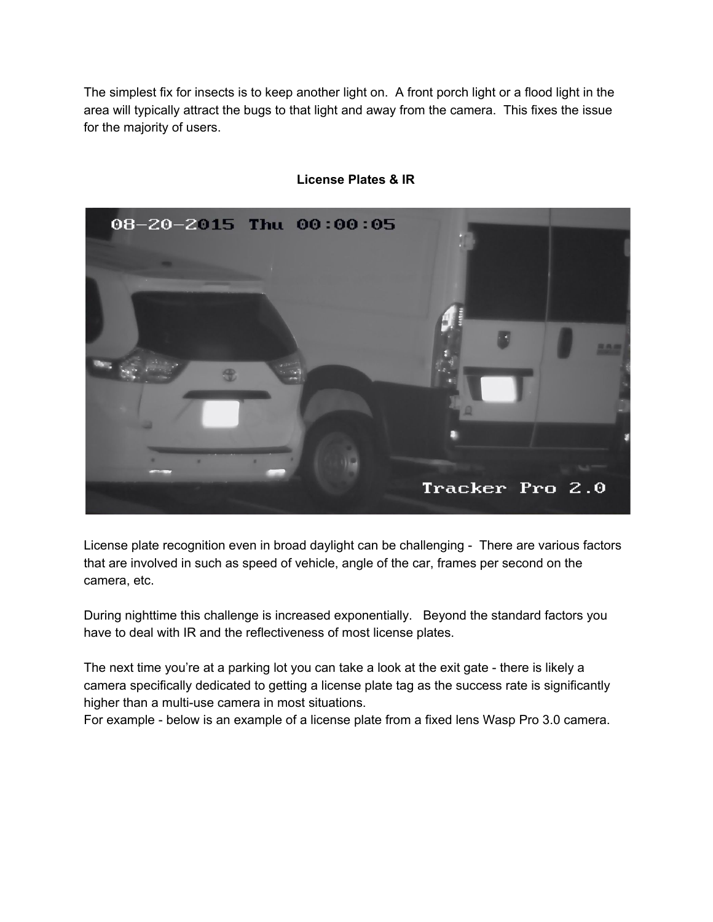The simplest fix for insects is to keep another light on. A front porch light or a flood light in the area will typically attract the bugs to that light and away from the camera. This fixes the issue for the majority of users.



#### **License Plates & IR**

License plate recognition even in broad daylight can be challenging - There are various factors that are involved in such as speed of vehicle, angle of the car, frames per second on the camera, etc.

During nighttime this challenge is increased exponentially. Beyond the standard factors you have to deal with IR and the reflectiveness of most license plates.

The next time you're at a parking lot you can take a look at the exit gate - there is likely a camera specifically dedicated to getting a license plate tag as the success rate is significantly higher than a multi-use camera in most situations.

For example - below is an example of a license plate from a fixed lens Wasp Pro 3.0 camera.